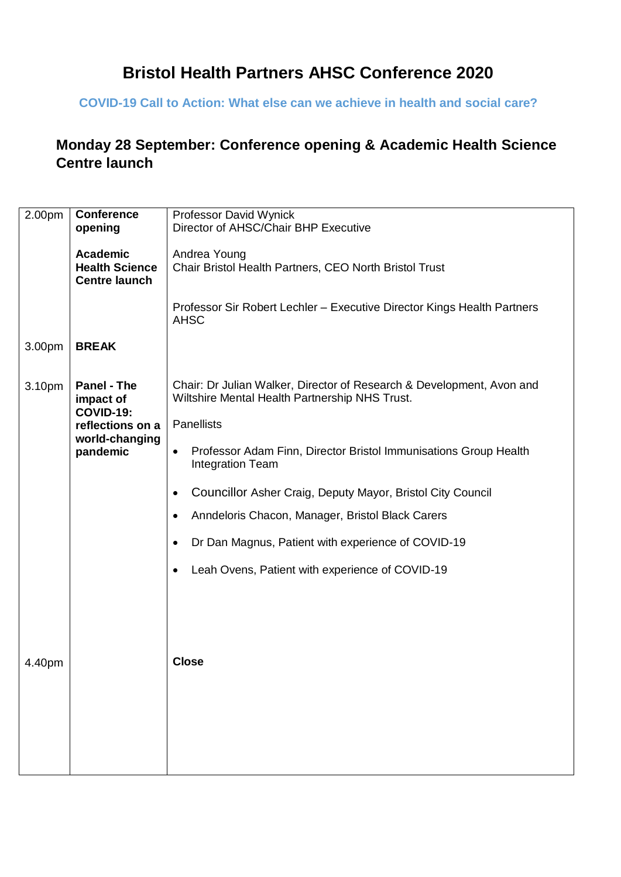# **Bristol Health Partners AHSC Conference 2020**

### **COVID-19 Call to Action: What else can we achieve in health and social care?**

### **Monday 28 September: Conference opening & Academic Health Science Centre launch**

| 2.00pm | <b>Conference</b>                                                                                     | Professor David Wynick                                                                                                                                                                                                                                                                                                                                                                                                                                                                                     |
|--------|-------------------------------------------------------------------------------------------------------|------------------------------------------------------------------------------------------------------------------------------------------------------------------------------------------------------------------------------------------------------------------------------------------------------------------------------------------------------------------------------------------------------------------------------------------------------------------------------------------------------------|
|        | opening                                                                                               | Director of AHSC/Chair BHP Executive                                                                                                                                                                                                                                                                                                                                                                                                                                                                       |
|        | <b>Academic</b><br><b>Health Science</b><br><b>Centre launch</b>                                      | Andrea Young<br>Chair Bristol Health Partners, CEO North Bristol Trust                                                                                                                                                                                                                                                                                                                                                                                                                                     |
|        |                                                                                                       | Professor Sir Robert Lechler - Executive Director Kings Health Partners<br><b>AHSC</b>                                                                                                                                                                                                                                                                                                                                                                                                                     |
| 3.00pm | <b>BREAK</b>                                                                                          |                                                                                                                                                                                                                                                                                                                                                                                                                                                                                                            |
| 3.10pm | <b>Panel - The</b><br>impact of<br><b>COVID-19:</b><br>reflections on a<br>world-changing<br>pandemic | Chair: Dr Julian Walker, Director of Research & Development, Avon and<br>Wiltshire Mental Health Partnership NHS Trust.<br><b>Panellists</b><br>Professor Adam Finn, Director Bristol Immunisations Group Health<br>$\bullet$<br><b>Integration Team</b><br>Councillor Asher Craig, Deputy Mayor, Bristol City Council<br>٠<br>Anndeloris Chacon, Manager, Bristol Black Carers<br>$\bullet$<br>Dr Dan Magnus, Patient with experience of COVID-19<br>Leah Ovens, Patient with experience of COVID-19<br>٠ |
| 4.40pm |                                                                                                       | <b>Close</b>                                                                                                                                                                                                                                                                                                                                                                                                                                                                                               |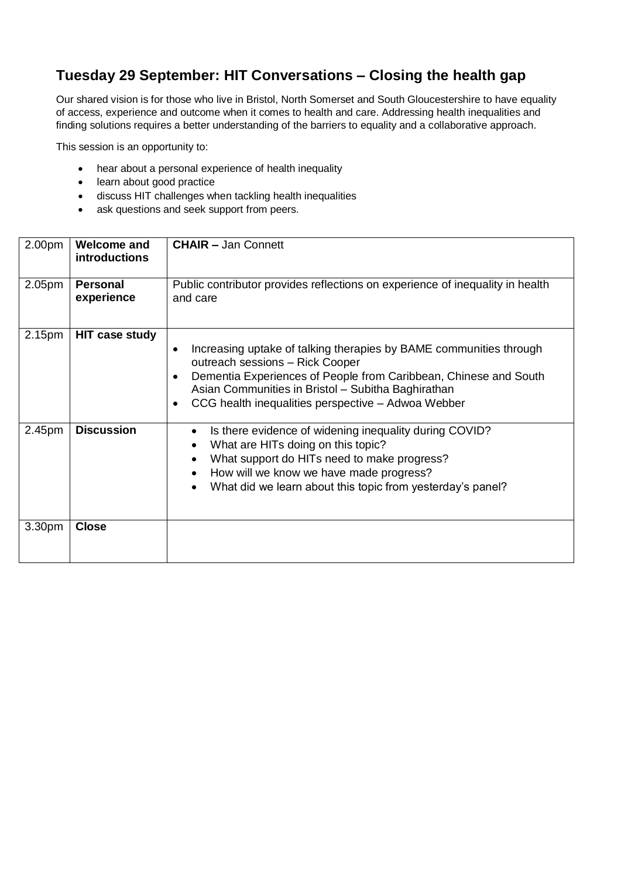### **Tuesday 29 September: HIT Conversations – Closing the health gap**

Our shared vision is for those who live in Bristol, North Somerset and South Gloucestershire to have equality of access, experience and outcome when it comes to health and care. Addressing health inequalities and finding solutions requires a better understanding of the barriers to equality and a collaborative approach.

This session is an opportunity to:

- hear about a personal experience of health inequality
- learn about good practice
- discuss HIT challenges when tackling health inequalities
- ask questions and seek support from peers.

| 2.00pm             | <b>Welcome and</b><br><b>introductions</b> | <b>CHAIR - Jan Connett</b>                                                                                                                                                                                                                                                                         |
|--------------------|--------------------------------------------|----------------------------------------------------------------------------------------------------------------------------------------------------------------------------------------------------------------------------------------------------------------------------------------------------|
| 2.05 <sub>pm</sub> | <b>Personal</b><br>experience              | Public contributor provides reflections on experience of inequality in health<br>and care                                                                                                                                                                                                          |
| 2.15pm             | <b>HIT case study</b>                      | Increasing uptake of talking therapies by BAME communities through<br>$\bullet$<br>outreach sessions - Rick Cooper<br>Dementia Experiences of People from Caribbean, Chinese and South<br>Asian Communities in Bristol - Subitha Baghirathan<br>CCG health inequalities perspective - Adwoa Webber |
| 2.45pm             | <b>Discussion</b>                          | Is there evidence of widening inequality during COVID?<br>$\bullet$<br>What are HITs doing on this topic?<br>What support do HITs need to make progress?<br>How will we know we have made progress?<br>What did we learn about this topic from yesterday's panel?                                  |
| 3.30pm             | <b>Close</b>                               |                                                                                                                                                                                                                                                                                                    |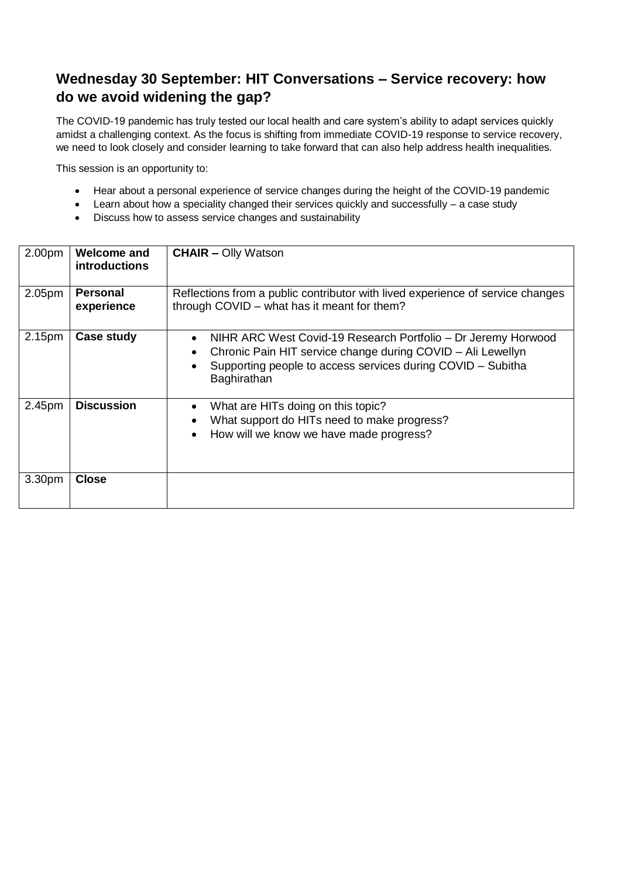#### **Wednesday 30 September: HIT Conversations – Service recovery: how do we avoid widening the gap?**

The COVID-19 pandemic has truly tested our local health and care system's ability to adapt services quickly amidst a challenging context. As the focus is shifting from immediate COVID-19 response to service recovery, we need to look closely and consider learning to take forward that can also help address health inequalities.

This session is an opportunity to:

- Hear about a personal experience of service changes during the height of the COVID-19 pandemic
- Learn about how a speciality changed their services quickly and successfully a case study
- Discuss how to assess service changes and sustainability

| 2.00pm | <b>Welcome and</b><br><b>introductions</b> | <b>CHAIR - Olly Watson</b>                                                                                                                                                                                              |
|--------|--------------------------------------------|-------------------------------------------------------------------------------------------------------------------------------------------------------------------------------------------------------------------------|
| 2.05pm | <b>Personal</b>                            | Reflections from a public contributor with lived experience of service changes                                                                                                                                          |
|        | experience                                 | through COVID - what has it meant for them?                                                                                                                                                                             |
| 2.15pm | Case study                                 | NIHR ARC West Covid-19 Research Portfolio – Dr Jeremy Horwood<br>$\bullet$<br>Chronic Pain HIT service change during COVID - Ali Lewellyn<br>Supporting people to access services during COVID - Subitha<br>Baghirathan |
| 2.45pm | <b>Discussion</b>                          | What are HITs doing on this topic?<br>$\bullet$<br>What support do HITs need to make progress?<br>$\bullet$<br>How will we know we have made progress?<br>$\bullet$                                                     |
| 3.30pm | <b>Close</b>                               |                                                                                                                                                                                                                         |